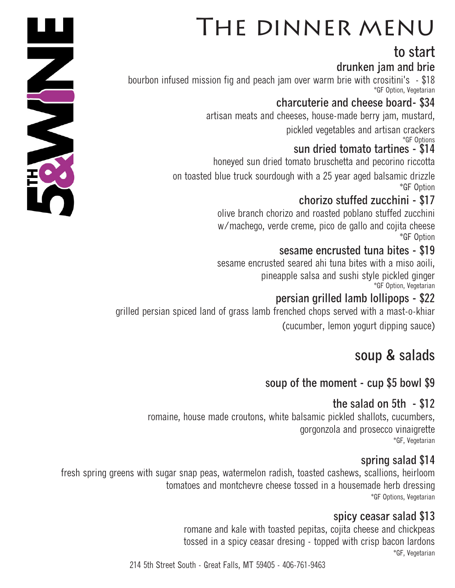# THE DINNER MENU

# **to start**

# **drunken jam and brie**

bourbon infused mission fig and peach jam over warm brie with crositini's - \$18 \*GF Option, Vegetarian

# **charcuterie and cheese board- \$34**

artisan meats and cheeses, house-made berry jam, mustard,

pickled vegetables and artisan crackers

\*GF Options

# **sun dried tomato tartines - \$14**

honeyed sun dried tomato bruschetta and pecorino riccotta

on toasted blue truck sourdough with a 25 year aged balsamic drizzle \*GF Option

# **chorizo stuffed zucchini - \$17**

olive branch chorizo and roasted poblano stuffed zucchini w/machego, verde creme, pico de gallo and cojita cheese \*GF Option

## **sesame encrusted tuna bites - \$19**

sesame encrusted seared ahi tuna bites with a miso aoili, pineapple salsa and sushi style pickled ginger \*GF Option, Vegetarian

## **persian grilled lamb lollipops - \$22**

grilled persian spiced land of grass lamb frenched chops served with a mast-o-khiar (cucumber, lemon yogurt dipping sauce)

# **soup & salads**

# **soup of the moment - cup \$5 bowl \$9**

# **the salad on 5th - \$12**

romaine, house made croutons, white balsamic pickled shallots, cucumbers, gorgonzola and prosecco vinaigrette \*GF, Vegetarian

## **spring salad \$14**

fresh spring greens with sugar snap peas, watermelon radish, toasted cashews, scallions, heirloom tomatoes and montchevre cheese tossed in a housemade herb dressing \*GF Options, Vegetarian

## **spicy ceasar salad \$13**

romane and kale with toasted pepitas, cojita cheese and chickpeas tossed in a spicy ceasar dresing - topped with crisp bacon lardons \*GF, Vegetarian